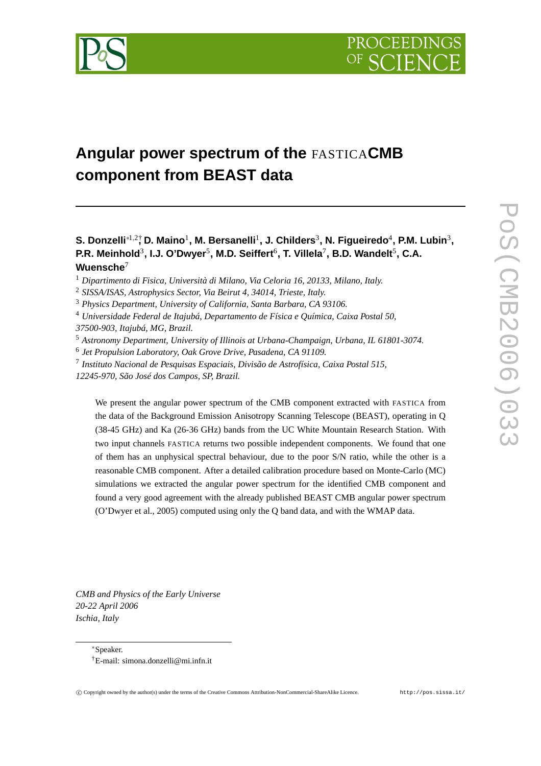

# **Angular power spectrum of the** FASTICA**CMB component from BEAST data**

## **S. Donzelli**∗1,2† **, D. Maino**<sup>1</sup> **, M. Bersanelli**<sup>1</sup> **, J. Childers** 3 **, N. Figueiredo**<sup>4</sup> **, P.M. Lubin**<sup>3</sup> **, P.R. Meinhold**<sup>3</sup> **, I.J. O'Dwyer**<sup>5</sup> **, M.D. Seiffert** 6 **, T. Villela**<sup>7</sup> **, B.D. Wandelt**<sup>5</sup> **, C.A. Wuensche**<sup>7</sup>

- <sup>1</sup> *Dipartimento di Fisica, Università di Milano, Via Celoria 16, 20133, Milano, Italy.*
- <sup>2</sup> *SISSA/ISAS, Astrophysics Sector, Via Beirut 4, 34014, Trieste, Italy.*
- <sup>3</sup> *Physics Department, University of California, Santa Barbara, CA 93106.*
- <sup>4</sup> *Universidade Federal de Itajubá, Departamento de Física e Química, Caixa Postal 50,*

*37500-903, Itajubá, MG, Brazil.*

- <sup>5</sup> *Astronomy Department, University of Illinois at Urbana-Champaign, Urbana, IL 61801-3074.*
- 6 *Jet Propulsion Laboratory, Oak Grove Drive, Pasadena, CA 91109.*
- 7 *Instituto Nacional de Pesquisas Espaciais, Divisão de Astrofísica, Caixa Postal 515,*
- *12245-970, São José dos Campos, SP, Brazil.*

We present the angular power spectrum of the CMB component extracted with FASTICA from the data of the Background Emission Anisotropy Scanning Telescope (BEAST), operating in Q (38-45 GHz) and Ka (26-36 GHz) bands from the UC White Mountain Research Station. With two input channels FASTICA returns two possible independent components. We found that one of them has an unphysical spectral behaviour, due to the poor S/N ratio, while the other is a reasonable CMB component. After a detailed calibration procedure based on Monte-Carlo (MC) simulations we extracted the angular power spectrum for the identified CMB component and found a very good agreement with the already published BEAST CMB angular power spectrum (O'Dwyer et al., 2005) computed using only the Q band data, and with the WMAP data.

*CMB and Physics of the Early Universe 20-22 April 2006 Ischia, Italy*

<sup>∗</sup>Speaker.

<sup>†</sup>E-mail: simona.donzelli@mi.infn.it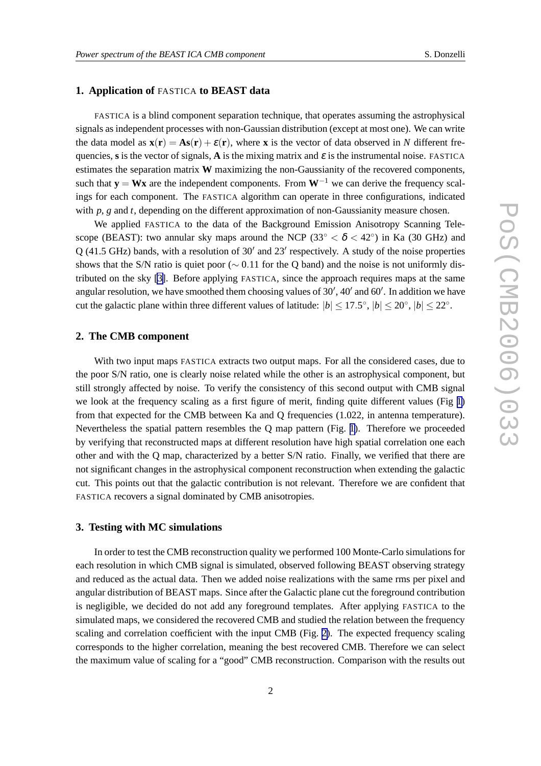## **1. Application of** FASTICA **to BEAST data**

FASTICA is a blind component separation technique, that operates assuming the astrophysical signals as independent processes with non-Gaussian distribution (except at most one). We can write the data model as  $\mathbf{x}(\mathbf{r}) = \mathbf{A}\mathbf{s}(\mathbf{r}) + \varepsilon(\mathbf{r})$ , where **x** is the vector of data observed in *N* different frequencies, s is the vector of signals, **A** is the mixing matrix and  $\varepsilon$  is the instrumental noise. FASTICA estimates the separation matrix **W** maximizing the non-Gaussianity of the recovered components, such that  $\mathbf{y} = \mathbf{W}\mathbf{x}$  are the independent components. From  $\mathbf{W}^{-1}$  we can derive the frequency scalings for each component. The FASTICA algorithm can operate in three configurations, indicated with *p*, *g* and *t*, depending on the different approximation of non-Gaussianity measure chosen.

We applied FASTICA to the data of the Background Emission Anisotropy Scanning Telescope (BEAST): two annular sky maps around the NCP (33° <  $\delta$  < 42°) in Ka (30 GHz) and  $Q$  (41.5 GHz) bands, with a resolution of 30' and 23' respectively. A study of the noise properties shows that the S/N ratio is quiet poor ( $\sim$  0.11 for the Q band) and the noise is not uniformly distributed on the sky [\[3\]](#page-2-0). Before applying FASTICA, since the approach requires maps at the same angular resolution, we have smoothed them choosing values of  $30'$ ,  $40'$  and  $60'$ . In addition we have cut the galactic plane within three different values of latitude:  $|b| \le 17.5^{\circ}$ ,  $|b| \le 20^{\circ}$ ,  $|b| \le 22^{\circ}$ .

## **2. The CMB component**

With two input maps FASTICA extracts two output maps. For all the considered cases, due to the poor S/N ratio, one is clearly noise related while the other is an astrophysical component, but still strongly affected by noise. To verify the consistency of this second output with CMB signal we look at the frequency scaling as a first figure of merit, finding quite different values (Fig [1\)](#page-2-0) from that expected for the CMB between Ka and Q frequencies (1.022, in antenna temperature). Nevertheless the spatial pattern resembles the Q map pattern (Fig. [1](#page-2-0)). Therefore we proceeded by verifying that reconstructed maps at different resolution have high spatial correlation one each other and with the Q map, characterized by a better S/N ratio. Finally, we verified that there are not significant changes in the astrophysical component reconstruction when extending the galactic cut. This points out that the galactic contribution is not relevant. Therefore we are confident that FASTICA recovers a signal dominated by CMB anisotropies.

## **3. Testing with MC simulations**

In order to test the CMB reconstruction quality we performed 100 Monte-Carlo simulations for each resolution in which CMB signal is simulated, observed following BEAST observing strategy and reduced as the actual data. Then we added noise realizations with the same rms per pixel and angular distribution of BEAST maps. Since after the Galactic plane cut the foreground contribution is negligible, we decided do not add any foreground templates. After applying FASTICA to the simulated maps, we considered the recovered CMB and studied the relation between the frequency scaling and correlation coefficient with the input CMB (Fig. [2\)](#page-3-0). The expected frequency scaling corresponds to the higher correlation, meaning the best recovered CMB. Therefore we can select the maximum value of scaling for a "good" CMB reconstruction. Comparison with the results out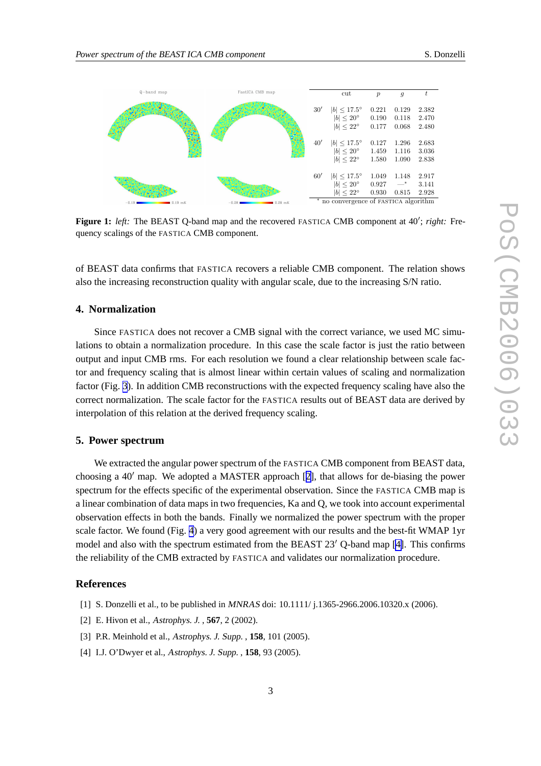<span id="page-2-0"></span>

Figure 1: left: The BEAST Q-band map and the recovered FASTICA CMB component at 40'; right: Frequency scalings of the FASTICA CMB component.

of BEAST data confirms that FASTICA recovers a reliable CMB component. The relation shows also the increasing reconstruction quality with angular scale, due to the increasing S/N ratio.

### **4. Normalization**

Since FASTICA does not recover a CMB signal with the correct variance, we used MC simulations to obtain a normalization procedure. In this case the scale factor is just the ratio between output and input CMB rms. For each resolution we found a clear relationship between scale factor and frequency scaling that is almost linear within certain values of scaling and normalization factor (Fig. [3](#page-3-0)). In addition CMB reconstructions with the expected frequency scaling have also the correct normalization. The scale factor for the FASTICA results out of BEAST data are derived by interpolation of this relation at the derived frequency scaling.

#### **5. Power spectrum**

We extracted the angular power spectrum of the FASTICA CMB component from BEAST data, choosing a  $40'$  map. We adopted a MASTER approach [2], that allows for de-biasing the power spectrum for the effects specific of the experimental observation. Since the FASTICA CMB map is a linear combination of data maps in two frequencies, Ka and Q, we took into account experimental observation effects in both the bands. Finally we normalized the power spectrum with the proper scale factor. We found (Fig. [4](#page-3-0)) a very good agreement with our results and the best-fit WMAP 1yr model and also with the spectrum estimated from the BEAST  $23'$  O-band map [4]. This confirms the reliability of the CMB extracted by FASTICA and validates our normalization procedure.

## **References**

- [1] S. Donzelli et al., to be published in MNRAS doi:  $10.1111/j.1365-2966.2006.10320.x (2006)$ .
- [2] E. Hivon et al., Astrophys. J. , **567**, 2 (2002).
- [3] P.R. Meinhold et al., Astrophys. J. Supp. , **158**, 101 (2005).
- [4] I.J. O'Dwyer et al., Astrophys. J. Supp. , **158**, 93 (2005).